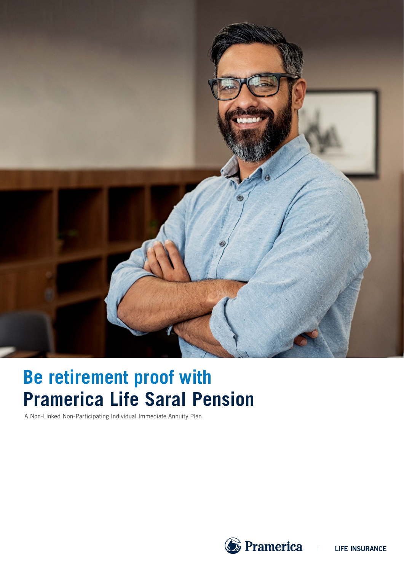

# **Pramerica Life Saral Pension Be retirement proof with**

A Non-Linked Non-Participating Individual Immediate Annuity Plan



 $\mathbf{L}$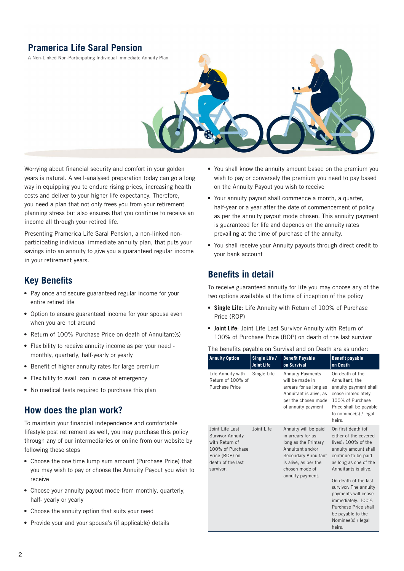# **Pramerica Life Saral Pension**

A Non-Linked Non-Participating Individual Immediate Annuity Plan



Worrying about financial security and comfort in your golden years is natural. A well-analysed preparation today can go a long way in equipping you to endure rising prices, increasing health costs and deliver to your higher life expectancy. Therefore, you need a plan that not only frees you from your retirement planning stress but also ensures that you continue to receive an income all through your retired life.

Presenting Pramerica Life Saral Pension, a non-linked nonparticipating individual immediate annuity plan, that puts your savings into an annuity to give you a guaranteed regular income in your retirement years.

### **Key Benefits**

- **•** Pay once and secure guaranteed regular income for your entire retired life
- **•** Option to ensure guaranteed income for your spouse even when you are not around
- **•** Return of 100% Purchase Price on death of Annuitant(s)
- **•** Flexibility to receive annuity income as per your need monthly, quarterly, half-yearly or yearly
- **•** Benefit of higher annuity rates for large premium
- **•** Flexibility to avail loan in case of emergency
- **•** No medical tests required to purchase this plan

### **How does the plan work?**

To maintain your financial independence and comfortable lifestyle post retirement as well, you may purchase this policy through any of our intermediaries or online from our website by following these steps

- **•** Choose the one time lump sum amount (Purchase Price) that you may wish to pay or choose the Annuity Payout you wish to receive
- **•** Choose your annuity payout mode from monthly, quarterly, half- yearly or yearly
- **•** Choose the annuity option that suits your need
- **•** Provide your and your spouse's (if applicable) details
- **•** You shall know the annuity amount based on the premium you wish to pay or conversely the premium you need to pay based on the Annuity Payout you wish to receive
- **•** Your annuity payout shall commence a month, a quarter, half-year or a year after the date of commencement of policy as per the annuity payout mode chosen. This annuity payment is guaranteed for life and depends on the annuity rates prevailing at the time of purchase of the annuity.
- **•** You shall receive your Annuity payouts through direct credit to your bank account

### **Benefits in detail**

To receive guaranteed annuity for life you may choose any of the two options available at the time of inception of the policy

- **• Single Life**: Life Annuity with Return of 100% of Purchase Price (ROP)
- **• Joint Life**: Joint Life Last Survivor Annuity with Return of 100% of Purchase Price (ROP) on death of the last survivor

The benefits payable on Survival and on Death are as under:

| <b>Annuity Option</b>                                                                                                                | Single Life /<br><b>Joint Life</b> | <b>Benefit Payable</b><br>on Survival                                                                                                                                     | <b>Benefit payable</b><br>on Death                                                                                                                                                                                                                                                                                                           |
|--------------------------------------------------------------------------------------------------------------------------------------|------------------------------------|---------------------------------------------------------------------------------------------------------------------------------------------------------------------------|----------------------------------------------------------------------------------------------------------------------------------------------------------------------------------------------------------------------------------------------------------------------------------------------------------------------------------------------|
| Life Annuity with<br>Return of 100% of<br>Purchase Price                                                                             | Single Life                        | <b>Annuity Payments</b><br>will be made in<br>arrears for as long as<br>Annuitant is alive, as<br>per the chosen mode<br>of annuity payment                               | On death of the<br>Annuitant, the<br>annuity payment shall<br>cease immediately.<br>100% of Purchase<br>Price shall be payable<br>to nominee(s) / legal<br>heirs.                                                                                                                                                                            |
| Joint Life Last<br><b>Survivor Annuity</b><br>with Return of<br>100% of Purchase<br>Price (ROP) on<br>death of the last<br>survivor. | Joint Life                         | Annuity will be paid<br>in arrears for as<br>long as the Primary<br>Annuitant and/or<br>Secondary Annuitant<br>is alive, as per the<br>chosen mode of<br>annuity payment. | On first death (of<br>either of the covered<br>lives): 100% of the<br>annuity amount shall<br>continue to be paid<br>as long as one of the<br>Annuitants is alive.<br>On death of the last<br>survivor: The annuity<br>payments will cease<br>immediately. 100%<br>Purchase Price shall<br>be payable to the<br>Nominee(s) / legal<br>heirs. |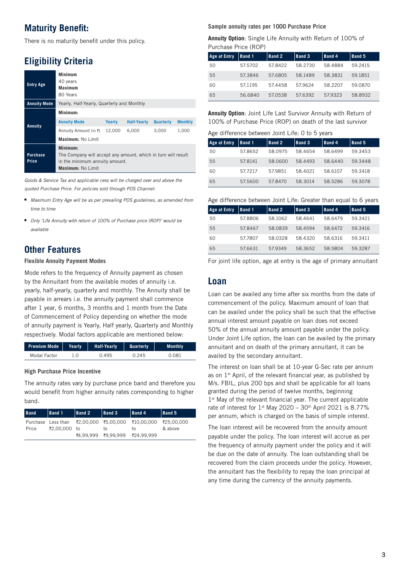### **Maturity Benefit:**

There is no maturity benefit under this policy.

# **Eligibility Criteria**

| <b>Entry Age</b>         | Minimum<br>40 years<br>Maximum<br>80 Years                                                                                       |        |                    |                  |                |  |
|--------------------------|----------------------------------------------------------------------------------------------------------------------------------|--------|--------------------|------------------|----------------|--|
| <b>Annuity Mode</b>      | Yearly, Half-Yearly, Quarterly and Monthly                                                                                       |        |                    |                  |                |  |
|                          | Minimum:                                                                                                                         |        |                    |                  |                |  |
| Annuity                  | <b>Annuity Mode</b>                                                                                                              | Yearly | <b>Half-Yearly</b> | <b>Quarterly</b> | <b>Monthly</b> |  |
|                          | Annuity Amount (in ₹)                                                                                                            | 12.000 | 6,000              | 3,000            | 1,000          |  |
|                          | Maximum: No Limit                                                                                                                |        |                    |                  |                |  |
| <b>Purchase</b><br>Price | Minimum:<br>The Company will accept any amount, which in turn will result<br>in the minimum annuity amount.<br>Maximum: No Limit |        |                    |                  |                |  |

*Goods & Service Tax and applicable cess will be charged over and above the quoted Purchase Price. For policies sold through POS Channel:*

- **•** *Maximum Entry Age will be as per prevailing POS guidelines, as amended from time to time*
- **•** *Only 'Life Annuity with return of 100% of Purchase price (ROP)' would be available*

# **Other Features**

#### **Flexible Annuity Payment Modes**

Mode refers to the frequency of Annuity payment as chosen by the Annuitant from the available modes of annuity i.e. yearly, half-yearly, quarterly and monthly. The Annuity shall be payable in arrears i.e. the annuity payment shall commence after 1 year, 6 months, 3 months and 1 month from the Date of Commencement of Policy depending on whether the mode of annuity payment is Yearly, Half yearly, Quarterly and Monthly respectively. Modal factors applicable are mentioned below:

| Premium Mode   Yearly |     | <b>Half-Yearly</b> | Quarterly | <b>Monthly</b> |
|-----------------------|-----|--------------------|-----------|----------------|
| Modal Factor          | 1.O | 0.495              | 0.245     | 0.081          |

#### **High Purchase Price Incentive**

The annuity rates vary by purchase price band and therefore you would benefit from higher annuity rates corresponding to higher band.

| <b>Band</b> | $\vert$ Band 1 | $ $ Band 2 | $\vert$ Band 3                 | $\vert$ Band 4                                               | $\vert$ Band 5 |
|-------------|----------------|------------|--------------------------------|--------------------------------------------------------------|----------------|
|             |                |            |                                | Purchase Less than ₹2,00,000 ₹5,00,000 ₹10,00,000 ₹25,00,000 |                |
| Price       | ₹2,00,000 to   |            | TO.                            | to.                                                          | & above        |
|             |                |            | ₹4.99.999 ₹9.99.999 ₹24.99.999 |                                                              |                |

#### **Sample annuity rates per 1000 Purchase Price**

**Annuity Option**: Single Life Annuity with Return of 100% of Purchase Price (ROP)

| <b>Age at Entry</b> | <b>Band 1</b> | <b>Band 2</b> | Band 3  | <b>Band 4</b> | Band 5  |
|---------------------|---------------|---------------|---------|---------------|---------|
| 50                  | 57.5702       | 578422        | 58.2730 | 58.4884       | 59.2415 |
| 55                  | 57.3846       | 57.6805       | 58.1489 | 58.3831       | 59.1851 |
| 60                  | 57.1195       | 57.4458       | 57.9624 | 58.2207       | 59.0870 |
| 65                  | 56.6840       | 57.0538       | 57.6392 | 57.9323       | 58.8932 |

**Annuity Option**: Joint Life Last Survivor Annuity with Return of 100% of Purchase Price (ROP) on death of the last survivor

#### Age difference between Joint Life: 0 to 5 years

| <b>Age at Entry</b> | Band 1  | <b>Band 2</b> | <b>Band 3</b> | Band 4  | <b>Band 5</b> |  |
|---------------------|---------|---------------|---------------|---------|---------------|--|
| 50                  | 57.8652 | 58.0975       | 58.4654       | 58.6499 | 59.3453       |  |
| 55                  | 57.8141 | 58.0600       | 58.4493       | 58.6440 | 59.3448       |  |
| 60                  | 57.7217 | 57.9851       | 58.4021       | 58.6107 | 59.3418       |  |
| 65                  | 57.5600 | 57.8470       | 58.3014       | 58.5286 | 59.3078       |  |

| Age difference between Joint Life: Greater than equal to 6 years |  |  |  |  |
|------------------------------------------------------------------|--|--|--|--|
|------------------------------------------------------------------|--|--|--|--|

| <b>Age at Entry</b> | Band 1. | <b>Band 2</b> | <b>Band 3</b> | Band 4  | Band 5  |
|---------------------|---------|---------------|---------------|---------|---------|
| 50                  | 57.8806 | 58.1062       | 58.4641       | 58.6479 | 59.3421 |
| 55                  | 57.8467 | 58.0839       | 58.4594       | 58.6472 | 59.3416 |
| 60                  | 57.7807 | 58.0328       | 58 4320       | 58.6316 | 59.3411 |
| 65                  | 57.6631 | 579349        | 58.3652       | 58.5804 | 59.3287 |

For joint life option, age at entry is the age of primary annuitant

### **Loan**

Loan can be availed any time after six months from the date of commencement of the policy. Maximum amount of loan that can be availed under the policy shall be such that the effective annual interest amount payable on loan does not exceed 50% of the annual annuity amount payable under the policy. Under Joint Life option, the loan can be availed by the primary annuitant and on death of the primary annuitant, it can be availed by the secondary annuitant.

The interest on loan shall be at 10-year G-Sec rate per annum as on  $1<sup>st</sup>$  April, of the relevant financial year, as published by M/s. FBIL, plus 200 bps and shall be applicable for all loans granted during the period of twelve months, beginning  $1<sup>st</sup>$  May of the relevant financial year. The current applicable rate of interest for  $1<sup>st</sup>$  May 2020 – 30<sup>th</sup> April 2021 is 8.77% per annum, which is charged on the basis of simple interest.

The loan interest will be recovered from the annuity amount payable under the policy. The loan interest will accrue as per the frequency of annuity payment under the policy and it will be due on the date of annuity. The loan outstanding shall be recovered from the claim proceeds under the policy. However, the annuitant has the flexibility to repay the loan principal at any time during the currency of the annuity payments.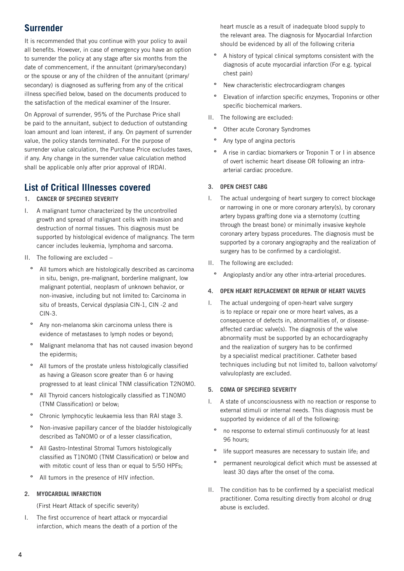### **Surrender**

It is recommended that you continue with your policy to avail all benefits. However, in case of emergency you have an option to surrender the policy at any stage after six months from the date of commencement, if the annuitant (primary/secondary) or the spouse or any of the children of the annuitant (primary/ secondary) is diagnosed as suffering from any of the critical illness specified below, based on the documents produced to the satisfaction of the medical examiner of the Insurer.

On Approval of surrender, 95% of the Purchase Price shall be paid to the annuitant, subject to deduction of outstanding loan amount and loan interest, if any. On payment of surrender value, the policy stands terminated. For the purpose of surrender value calculation, the Purchase Price excludes taxes, if any. Any change in the surrender value calculation method shall be applicable only after prior approval of IRDAI.

### **List of Critical Illnesses covered**

#### **1. CANCER OF SPECIFIED SEVERITY**

- I. A malignant tumor characterized by the uncontrolled growth and spread of malignant cells with invasion and destruction of normal tissues. This diagnosis must be supported by histological evidence of malignancy. The term cancer includes leukemia, lymphoma and sarcoma.
- II. The following are excluded
	- **º** All tumors which are histologically described as carcinoma in situ, benign, pre-malignant, borderline malignant, low malignant potential, neoplasm of unknown behavior, or non-invasive, including but not limited to: Carcinoma in situ of breasts, Cervical dysplasia CIN-1, CIN -2 and CIN-3.
	- **º** Any non-melanoma skin carcinoma unless there is evidence of metastases to lymph nodes or beyond;
	- **º** Malignant melanoma that has not caused invasion beyond the epidermis;
	- **º** All tumors of the prostate unless histologically classified as having a Gleason score greater than 6 or having progressed to at least clinical TNM classification T2N0M0.
	- **º** All Thyroid cancers histologically classified as T1N0M0 (TNM Classification) or below;
	- **º** Chronic lymphocytic leukaemia less than RAI stage 3.
	- **º** Non-invasive papillary cancer of the bladder histologically described as TaN0M0 or of a lesser classification,
	- **º** All Gastro-Intestinal Stromal Tumors histologically classified as T1N0M0 (TNM Classification) or below and with mitotic count of less than or equal to 5/50 HPFs;
	- All tumors in the presence of HIV infection.

#### **2. MYOCARDIAL INFARCTION**

(First Heart Attack of specific severity)

I. The first occurrence of heart attack or myocardial infarction, which means the death of a portion of the

heart muscle as a result of inadequate blood supply to the relevant area. The diagnosis for Myocardial Infarction should be evidenced by all of the following criteria

- **º** A history of typical clinical symptoms consistent with the diagnosis of acute myocardial infarction (For e.g. typical chest pain)
- **º** New characteristic electrocardiogram changes
- **º** Elevation of infarction specific enzymes, Troponins or other specific biochemical markers.
- II. The following are excluded:
	- **Other acute Coronary Syndromes**
	- **º** Any type of angina pectoris
	- **º** A rise in cardiac biomarkers or Troponin T or I in absence of overt ischemic heart disease OR following an intraarterial cardiac procedure.

#### **3. OPEN CHEST CABG**

- I. The actual undergoing of heart surgery to correct blockage or narrowing in one or more coronary artery(s), by coronary artery bypass grafting done via a sternotomy (cutting through the breast bone) or minimally invasive keyhole coronary artery bypass procedures. The diagnosis must be supported by a coronary angiography and the realization of surgery has to be confirmed by a cardiologist.
- II. The following are excluded:
	- **º** Angioplasty and/or any other intra-arterial procedures.

#### **4. OPEN HEART REPLACEMENT OR REPAIR OF HEART VALVES**

I. The actual undergoing of open-heart valve surgery is to replace or repair one or more heart valves, as a consequence of defects in, abnormalities of, or diseaseaffected cardiac valve(s). The diagnosis of the valve abnormality must be supported by an echocardiography and the realization of surgery has to be confirmed by a specialist medical practitioner. Catheter based techniques including but not limited to, balloon valvotomy/ valvuloplasty are excluded.

#### **5. COMA OF SPECIFIED SEVERITY**

- I. A state of unconsciousness with no reaction or response to external stimuli or internal needs. This diagnosis must be supported by evidence of all of the following:
	- **º** no response to external stimuli continuously for at least 96 hours;
	- **º** life support measures are necessary to sustain life; and
	- **º** permanent neurological deficit which must be assessed at least 30 days after the onset of the coma.
- II. The condition has to be confirmed by a specialist medical practitioner. Coma resulting directly from alcohol or drug abuse is excluded.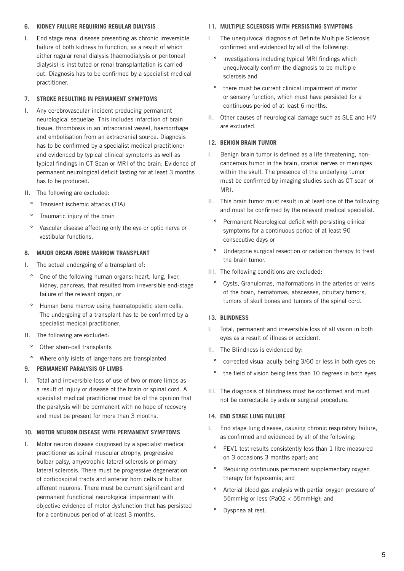#### **6. KIDNEY FAILURE REQUIRING REGULAR DIALYSIS**

I. End stage renal disease presenting as chronic irreversible failure of both kidneys to function, as a result of which either regular renal dialysis (haemodialysis or peritoneal dialysis) is instituted or renal transplantation is carried out. Diagnosis has to be confirmed by a specialist medical practitioner.

#### **7. STROKE RESULTING IN PERMANENT SYMPTOMS**

- I. Any cerebrovascular incident producing permanent neurological sequelae. This includes infarction of brain tissue, thrombosis in an intracranial vessel, haemorrhage and embolisation from an extracranial source. Diagnosis has to be confirmed by a specialist medical practitioner and evidenced by typical clinical symptoms as well as typical findings in CT Scan or MRI of the brain. Evidence of permanent neurological deficit lasting for at least 3 months has to be produced.
- II. The following are excluded:
	- **º** Transient ischemic attacks (TIA)
	- **º** Traumatic injury of the brain
	- **º** Vascular disease affecting only the eye or optic nerve or vestibular functions.

#### **8. MAJOR ORGAN /BONE MARROW TRANSPLANT**

- I. The actual undergoing of a transplant of:
	- **º** One of the following human organs: heart, lung, liver, kidney, pancreas, that resulted from irreversible end-stage failure of the relevant organ, or
	- **º** Human bone marrow using haematopoietic stem cells. The undergoing of a transplant has to be confirmed by a specialist medical practitioner.
- II. The following are excluded:
	- Other stem-cell transplants
	- **º** Where only islets of langerhans are transplanted

#### **9. PERMANENT PARALYSIS OF LIMBS**

I. Total and irreversible loss of use of two or more limbs as a result of injury or disease of the brain or spinal cord. A specialist medical practitioner must be of the opinion that the paralysis will be permanent with no hope of recovery and must be present for more than 3 months.

#### **10. MOTOR NEURON DISEASE WITH PERMANENT SYMPTOMS**

I. Motor neuron disease diagnosed by a specialist medical practitioner as spinal muscular atrophy, progressive bulbar palsy, amyotrophic lateral sclerosis or primary lateral sclerosis. There must be progressive degeneration of corticospinal tracts and anterior horn cells or bulbar efferent neurons. There must be current significant and permanent functional neurological impairment with objective evidence of motor dysfunction that has persisted for a continuous period of at least 3 months.

#### **11. MULTIPLE SCLEROSIS WITH PERSISTING SYMPTOMS**

- I. The unequivocal diagnosis of Definite Multiple Sclerosis confirmed and evidenced by all of the following:
	- **º** investigations including typical MRI findings which unequivocally confirm the diagnosis to be multiple sclerosis and
	- **º** there must be current clinical impairment of motor or sensory function, which must have persisted for a continuous period of at least 6 months.
- II. Other causes of neurological damage such as SLE and HIV are excluded.

#### **12. BENIGN BRAIN TUMOR**

- I. Benign brain tumor is defined as a life threatening, noncancerous tumor in the brain, cranial nerves or meninges within the skull. The presence of the underlying tumor must be confirmed by imaging studies such as CT scan or MRI.
- II. This brain tumor must result in at least one of the following and must be confirmed by the relevant medical specialist.
	- **º** Permanent Neurological deficit with persisting clinical symptoms for a continuous period of at least 90 consecutive days or
	- **º** Undergone surgical resection or radiation therapy to treat the brain tumor.
- III. The following conditions are excluded:
	- **º** Cysts, Granulomas, malformations in the arteries or veins of the brain, hematomas, abscesses, pituitary tumors, tumors of skull bones and tumors of the spinal cord.

#### **13. BLINDNESS**

- I. Total, permanent and irreversible loss of all vision in both eyes as a result of illness or accident.
- II. The Blindness is evidenced by:
	- **º** corrected visual acuity being 3/60 or less in both eyes or;
	- **º** the field of vision being less than 10 degrees in both eyes.
- III. The diagnosis of blindness must be confirmed and must not be correctable by aids or surgical procedure.

#### **14. END STAGE LUNG FAILURE**

- I. End stage lung disease, causing chronic respiratory failure, as confirmed and evidenced by all of the following:
	- **º** FEV1 test results consistently less than 1 litre measured on 3 occasions 3 months apart; and
	- **º** Requiring continuous permanent supplementary oxygen therapy for hypoxemia; and
	- **º** Arterial blood gas analysis with partial oxygen pressure of 55mmHg or less (PaO2 < 55mmHg); and
	- **º** Dyspnea at rest.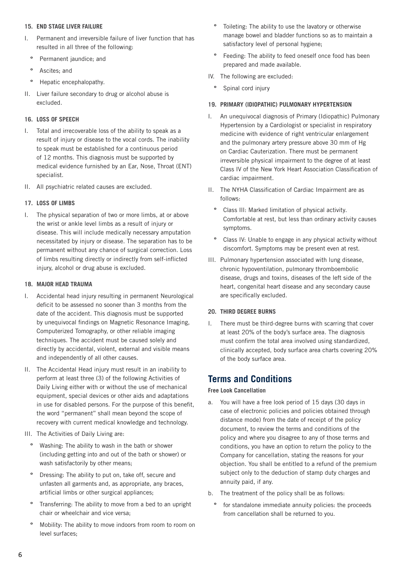#### **15. END STAGE LIVER FAILURE**

- I. Permanent and irreversible failure of liver function that has resulted in all three of the following:
	- **º** Permanent jaundice; and
	- **º** Ascites; and
	- **º** Hepatic encephalopathy.
- II. Liver failure secondary to drug or alcohol abuse is excluded.

#### **16. LOSS OF SPEECH**

- I. Total and irrecoverable loss of the ability to speak as a result of injury or disease to the vocal cords. The inability to speak must be established for a continuous period of 12 months. This diagnosis must be supported by medical evidence furnished by an Ear, Nose, Throat (ENT) specialist.
- II. All psychiatric related causes are excluded.

#### **17. LOSS OF LIMBS**

I. The physical separation of two or more limbs, at or above the wrist or ankle level limbs as a result of injury or disease. This will include medically necessary amputation necessitated by injury or disease. The separation has to be permanent without any chance of surgical correction. Loss of limbs resulting directly or indirectly from self-inflicted injury, alcohol or drug abuse is excluded.

#### **18. MAJOR HEAD TRAUMA**

- I. Accidental head injury resulting in permanent Neurological deficit to be assessed no sooner than 3 months from the date of the accident. This diagnosis must be supported by unequivocal findings on Magnetic Resonance Imaging, Computerized Tomography, or other reliable imaging techniques. The accident must be caused solely and directly by accidental, violent, external and visible means and independently of all other causes.
- II. The Accidental Head injury must result in an inability to perform at least three (3) of the following Activities of Daily Living either with or without the use of mechanical equipment, special devices or other aids and adaptations in use for disabled persons. For the purpose of this benefit, the word "permanent" shall mean beyond the scope of recovery with current medical knowledge and technology.
- III. The Activities of Daily Living are:
	- **º** Washing: The ability to wash in the bath or shower (including getting into and out of the bath or shower) or wash satisfactorily by other means;
	- **º** Dressing: The ability to put on, take off, secure and unfasten all garments and, as appropriate, any braces, artificial limbs or other surgical appliances;
	- **º** Transferring: The ability to move from a bed to an upright chair or wheelchair and vice versa;
	- **º** Mobility: The ability to move indoors from room to room on level surfaces;
- **º** Toileting: The ability to use the lavatory or otherwise manage bowel and bladder functions so as to maintain a satisfactory level of personal hygiene;
- **º** Feeding: The ability to feed oneself once food has been prepared and made available.
- IV. The following are excluded:
	- **º** Spinal cord injury

#### **19. PRIMARY (IDIOPATHIC) PULMONARY HYPERTENSION**

- I. An unequivocal diagnosis of Primary (Idiopathic) Pulmonary Hypertension by a Cardiologist or specialist in respiratory medicine with evidence of right ventricular enlargement and the pulmonary artery pressure above 30 mm of Hg on Cardiac Cauterization. There must be permanent irreversible physical impairment to the degree of at least Class IV of the New York Heart Association Classification of cardiac impairment.
- II. The NYHA Classification of Cardiac Impairment are as follows:
	- **º** Class III: Marked limitation of physical activity. Comfortable at rest, but less than ordinary activity causes symptoms.
	- **º** Class IV: Unable to engage in any physical activity without discomfort. Symptoms may be present even at rest.
- III. Pulmonary hypertension associated with lung disease, chronic hypoventilation, pulmonary thromboembolic disease, drugs and toxins, diseases of the left side of the heart, congenital heart disease and any secondary cause are specifically excluded.

#### **20. THIRD DEGREE BURNS**

I. There must be third-degree burns with scarring that cover at least 20% of the body's surface area. The diagnosis must confirm the total area involved using standardized, clinically accepted, body surface area charts covering 20% of the body surface area.

### **Terms and Conditions**

#### **Free Look Cancellation**

- a. You will have a free look period of 15 days (30 days in case of electronic policies and policies obtained through distance mode) from the date of receipt of the policy document, to review the terms and conditions of the policy and where you disagree to any of those terms and conditions, you have an option to return the policy to the Company for cancellation, stating the reasons for your objection. You shall be entitled to a refund of the premium subject only to the deduction of stamp duty charges and annuity paid, if any.
- b. The treatment of the policy shall be as follows:
	- **º** for standalone immediate annuity policies: the proceeds from cancellation shall be returned to you.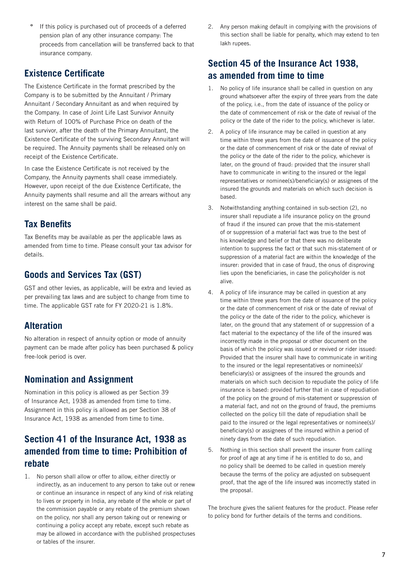**º** If this policy is purchased out of proceeds of a deferred pension plan of any other insurance company: The proceeds from cancellation will be transferred back to that insurance company.

### **Existence Certificate**

The Existence Certificate in the format prescribed by the Company is to be submitted by the Annuitant / Primary Annuitant / Secondary Annuitant as and when required by the Company. In case of Joint Life Last Survivor Annuity with Return of 100% of Purchase Price on death of the last survivor, after the death of the Primary Annuitant, the Existence Certificate of the surviving Secondary Annuitant will be required. The Annuity payments shall be released only on receipt of the Existence Certificate.

In case the Existence Certificate is not received by the Company, the Annuity payments shall cease immediately. However, upon receipt of the due Existence Certificate, the Annuity payments shall resume and all the arrears without any interest on the same shall be paid.

# **Tax Benefits**

Tax Benefits may be available as per the applicable laws as amended from time to time. Please consult your tax advisor for details.

# **Goods and Services Tax (GST)**

GST and other levies, as applicable, will be extra and levied as per prevailing tax laws and are subject to change from time to time. The applicable GST rate for FY 2020-21 is 1.8%.

### **Alteration**

No alteration in respect of annuity option or mode of annuity payment can be made after policy has been purchased & policy free-look period is over.

### **Nomination and Assignment**

Nomination in this policy is allowed as per Section 39 of Insurance Act, 1938 as amended from time to time. Assignment in this policy is allowed as per Section 38 of Insurance Act, 1938 as amended from time to time.

# **Section 41 of the Insurance Act, 1938 as amended from time to time: Prohibition of rebate**

1. No person shall allow or offer to allow, either directly or indirectly, as an inducement to any person to take out or renew or continue an insurance in respect of any kind of risk relating to lives or property in India, any rebate of the whole or part of the commission payable or any rebate of the premium shown on the policy, nor shall any person taking out or renewing or continuing a policy accept any rebate, except such rebate as may be allowed in accordance with the published prospectuses or tables of the insurer.

2. Any person making default in complying with the provisions of this section shall be liable for penalty, which may extend to ten lakh rupees.

# **Section 45 of the Insurance Act 1938, as amended from time to time**

- 1. No policy of life insurance shall be called in question on any ground whatsoever after the expiry of three years from the date of the policy, i.e., from the date of issuance of the policy or the date of commencement of risk or the date of revival of the policy or the date of the rider to the policy, whichever is later.
- 2. A policy of life insurance may be called in question at any time within three years from the date of issuance of the policy or the date of commencement of risk or the date of revival of the policy or the date of the rider to the policy, whichever is later, on the ground of fraud: provided that the insurer shall have to communicate in writing to the insured or the legal representatives or nominee(s)/beneficiary(s) or assignees of the insured the grounds and materials on which such decision is based.
- 3. Notwithstanding anything contained in sub-section (2), no insurer shall repudiate a life insurance policy on the ground of fraud if the insured can prove that the mis-statement of or suppression of a material fact was true to the best of his knowledge and belief or that there was no deliberate intention to suppress the fact or that such mis-statement of or suppression of a material fact are within the knowledge of the insurer: provided that in case of fraud, the onus of disproving lies upon the beneficiaries, in case the policyholder is not alive.
- 4. A policy of life insurance may be called in question at any time within three years from the date of issuance of the policy or the date of commencement of risk or the date of revival of the policy or the date of the rider to the policy, whichever is later, on the ground that any statement of or suppression of a fact material to the expectancy of the life of the insured was incorrectly made in the proposal or other document on the basis of which the policy was issued or revived or rider issued: Provided that the insurer shall have to communicate in writing to the insured or the legal representatives or nominee(s)/ beneficiary(s) or assignees of the insured the grounds and materials on which such decision to repudiate the policy of life insurance is based: provided further that in case of repudiation of the policy on the ground of mis-statement or suppression of a material fact, and not on the ground of fraud, the premiums collected on the policy till the date of repudiation shall be paid to the insured or the legal representatives or nominee(s)/ beneficiary(s) or assignees of the insured within a period of ninety days from the date of such repudiation.
- 5. Nothing in this section shall prevent the insurer from calling for proof of age at any time if he is entitled to do so, and no policy shall be deemed to be called in question merely because the terms of the policy are adjusted on subsequent proof, that the age of the life insured was incorrectly stated in the proposal.

The brochure gives the salient features for the product. Please refer to policy bond for further details of the terms and conditions.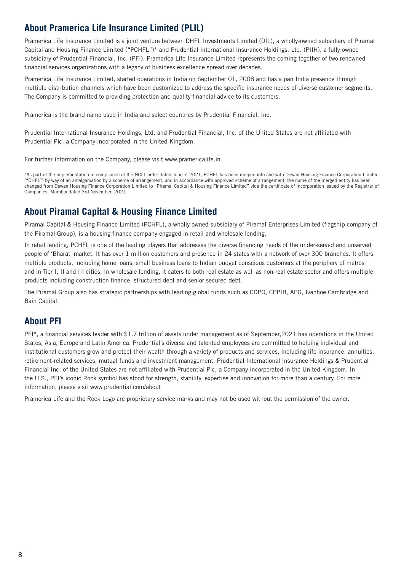### **About Pramerica Life Insurance Limited (PLIL)**

Pramerica Life Insurance Limited is a joint venture between DHFL Investments Limited (DIL), a wholly-owned subsidiary of Piramal Capital and Housing Finance Limited ("PCHFL")\* and Prudential International Insurance Holdings, Ltd. (PIIH), a fully owned subsidiary of Prudential Financial, Inc. (PFI). Pramerica Life Insurance Limited represents the coming together of two renowned financial services organizations with a legacy of business excellence spread over decades.

Pramerica Life Insurance Limited, started operations in India on September 01, 2008 and has a pan India presence through multiple distribution channels which have been customized to address the specific insurance needs of diverse customer segments. The Company is committed to providing protection and quality financial advice to its customers.

Pramerica is the brand name used in India and select countries by Prudential Financial, Inc.

Prudential International Insurance Holdings, Ltd. and Prudential Financial, Inc. of the United States are not affiliated with Prudential Plc. a Company incorporated in the United Kingdom.

For further information on the Company, please visit www.pramericalife.in

\*As part of the implementation in compliance of the NCLT order dated June 7, 2021, PCHFL has been merged into and with Dewan Housing Finance Corporation Limited ("DHFL") by way of an amalgamation by a scheme of arrangement, and in accordance with approved scheme of arrangement, the name of the merged entity has been changed from Dewan Housing Finance Corporation Limited to "Piramal Capital & Housing Finance Limited" vide the certificate of incorporation issued by the Registrar of Companies, Mumbai dated 3rd November, 2021.

# **About Piramal Capital & Housing Finance Limited**

Piramal Capital & Housing Finance Limited (PCHFL), a wholly owned subsidiary of Piramal Enterprises Limited (flagship company of the Piramal Group), is a housing finance company engaged in retail and wholesale lending.

In retail lending, PCHFL is one of the leading players that addresses the diverse financing needs of the under-served and unserved people of 'Bharat' market. It has over 1 million customers and presence in 24 states with a network of over 300 branches. It offers multiple products, including home loans, small business loans to Indian budget conscious customers at the periphery of metros and in Tier I, II and III cities. In wholesale lending, it caters to both real estate as well as non-real estate sector and offers multiple products including construction finance, structured debt and senior secured debt.

The Piramal Group also has strategic partnerships with leading global funds such as CDPQ, CPPIB, APG, Ivanhoe Cambridge and Bain Capital.

# **About PFI**

PFI\*, a financial services leader with \$1.7 trillion of assets under management as of September,2021 has operations in the United States, Asia, Europe and Latin America. Prudential's diverse and talented employees are committed to helping individual and institutional customers grow and protect their wealth through a variety of products and services, including life insurance, annuities, retirement-related services, mutual funds and investment management. Prudential International Insurance Holdings & Prudential Financial Inc. of the United States are not affiliated with Prudential Plc, a Company incorporated in the United Kingdom. In the U.S., PFI's iconic Rock symbol has stood for strength, stability, expertise and innovation for more than a century. For more information, please visit www.prudential.com/about

Pramerica Life and the Rock Logo are proprietary service marks and may not be used without the permission of the owner.